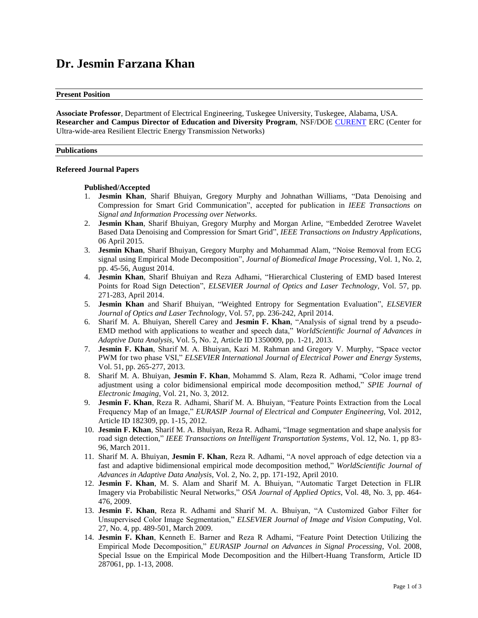# **Dr. Jesmin Farzana Khan**

#### **Present Position**

**Associate Professor**, Department of Electrical Engineering, Tuskegee University, Tuskegee, Alabama, USA. **Researcher and Campus Director of Education and Diversity Program**, NSF/DOE [CURENT](http://curent.utk.edu/) ERC (Center for Ultra-wide-area Resilient Electric Energy Transmission Networks)

#### **Publications**

#### **Refereed Journal Papers**

## **Published/Accepted**

- 1. **Jesmin Khan**, Sharif Bhuiyan, Gregory Murphy and Johnathan Williams, "Data Denoising and Compression for Smart Grid Communication", accepted for publication in *IEEE Transactions on Signal and Information Processing over Networks*.
- 2. **Jesmin Khan**, Sharif Bhuiyan, Gregory Murphy and Morgan Arline, "Embedded Zerotree Wavelet Based Data Denoising and Compression for Smart Grid", *IEEE Transactions on Industry Applications*, 06 April 2015.
- 3. **Jesmin Khan**, Sharif Bhuiyan, Gregory Murphy and Mohammad Alam, "Noise Removal from ECG signal using Empirical Mode Decomposition", *Journal of Biomedical Image Processing*, Vol. 1, No. 2, pp. 45-56, August 2014.
- 4. **Jesmin Khan**, Sharif Bhuiyan and Reza Adhami, "Hierarchical Clustering of EMD based Interest Points for Road Sign Detection", *ELSEVIER Journal of Optics and Laser Technology*, Vol. 57, pp. 271-283, April 2014.
- 5. **Jesmin Khan** and Sharif Bhuiyan, "Weighted Entropy for Segmentation Evaluation", *ELSEVIER Journal of Optics and Laser Technology*, Vol. 57, pp. 236-242, April 2014.
- 6. Sharif M. A. Bhuiyan, Sherell Carey and **Jesmin F. Khan**, "Analysis of signal trend by a pseudo-EMD method with applications to weather and speech data," *WorldScientific Journal of Advances in Adaptive Data Analysis*, Vol. 5, No. 2, Article ID 1350009, pp. 1-21, 2013.
- 7. **Jesmin F. Khan**, Sharif M. A. Bhuiyan, Kazi M. Rahman and Gregory V. Murphy, "Space vector PWM for two phase VSI," *ELSEVIER International Journal of Electrical Power and Energy Systems*, Vol. 51, pp. 265-277, 2013.
- 8. Sharif M. A. Bhuiyan, **Jesmin F. Khan**, Mohammd S. Alam, Reza R. Adhami, "Color image trend adjustment using a color bidimensional empirical mode decomposition method," *SPIE Journal of Electronic Imaging*, Vol. 21, No. 3, 2012.
- 9. **Jesmin F. Khan**, Reza R. Adhami, Sharif M. A. Bhuiyan, "Feature Points Extraction from the Local Frequency Map of an Image," *EURASIP Journal of Electrical and Computer Engineering*, Vol. 2012, Article ID 182309, pp. 1-15, 2012.
- 10. **Jesmin F. Khan**, Sharif M. A. Bhuiyan, Reza R. Adhami, "Image segmentation and shape analysis for road sign detection," *IEEE Transactions on Intelligent Transportation Systems*, Vol. 12, No. 1, pp 83- 96, March 2011.
- 11. Sharif M. A. Bhuiyan, **Jesmin F. Khan**, Reza R. Adhami, "A novel approach of edge detection via a fast and adaptive bidimensional empirical mode decomposition method," *WorldScientific Journal of Advances in Adaptive Data Analysis*, Vol. 2, No. 2, pp. 171-192, April 2010.
- 12. **Jesmin F. Khan**, M. S. Alam and Sharif M. A. Bhuiyan, "Automatic Target Detection in FLIR Imagery via Probabilistic Neural Networks," *OSA Journal of Applied Optics*, Vol. 48, No. 3, pp. 464- 476, 2009.
- 13. **Jesmin F. Khan**, Reza R. Adhami and Sharif M. A. Bhuiyan, "A Customized Gabor Filter for Unsupervised Color Image Segmentation," *ELSEVIER Journal of Image and Vision Computing*, Vol. 27, No. 4, pp. 489-501, March 2009.
- 14. **Jesmin F. Khan**, Kenneth E. Barner and Reza R Adhami, "Feature Point Detection Utilizing the Empirical Mode Decomposition," *EURASIP Journal on Advances in Signal Processing*, Vol. 2008, Special Issue on the Empirical Mode Decomposition and the Hilbert-Huang Transform, Article ID 287061, pp. 1-13, 2008.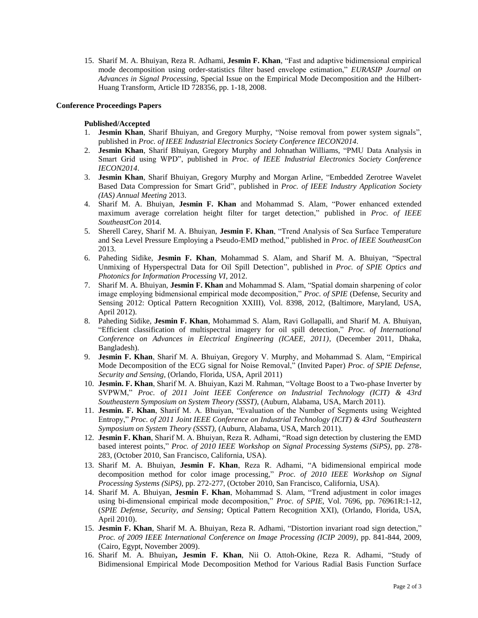15. Sharif M. A. Bhuiyan, Reza R. Adhami, **Jesmin F. Khan**, "Fast and adaptive bidimensional empirical mode decomposition using order-statistics filter based envelope estimation," *EURASIP Journal on Advances in Signal Processing*, Special Issue on the Empirical Mode Decomposition and the Hilbert-Huang Transform, Article ID 728356, pp. 1-18, 2008.

## **Conference Proceedings Papers**

## **Published/Accepted**

- 1. **Jesmin Khan**, Sharif Bhuiyan, and Gregory Murphy, "Noise removal from power system signals", published in *Proc. of IEEE Industrial Electronics Society Conference IECON2014*.
- 2. **Jesmin Khan**, Sharif Bhuiyan, Gregory Murphy and Johnathan Williams, "PMU Data Analysis in Smart Grid using WPD", published in *Proc. of IEEE Industrial Electronics Society Conference IECON2014*.
- 3. **Jesmin Khan**, Sharif Bhuiyan, Gregory Murphy and Morgan Arline, "Embedded Zerotree Wavelet Based Data Compression for Smart Grid", published in *Proc. of IEEE Industry Application Society (IAS) Annual Meeting* 2013.
- 4. Sharif M. A. Bhuiyan, **Jesmin F. Khan** and Mohammad S. Alam, "Power enhanced extended maximum average correlation height filter for target detection," published in *Proc. of IEEE SoutheastCon* 2014.
- 5. Sherell Carey, Sharif M. A. Bhuiyan, **Jesmin F. Khan**, "Trend Analysis of Sea Surface Temperature and Sea Level Pressure Employing a Pseudo-EMD method," published in *Proc. of IEEE SoutheastCon*  2013.
- 6. Paheding Sidike, **Jesmin F. Khan**, Mohammad S. Alam, and Sharif M. A. Bhuiyan, "Spectral Unmixing of Hyperspectral Data for Oil Spill Detection", published in *Proc. of SPIE Optics and Photonics for Information Processing VI*, 2012.
- 7. Sharif M. A. Bhuiyan, **Jesmin F. Khan** and Mohammad S. Alam, "Spatial domain sharpening of color image employing bidmensional empirical mode decomposition," *Proc. of SPIE* (Defense, Security and Sensing 2012: Optical Pattern Recognition XXIII), Vol. 8398, 2012, (Baltimore, Maryland, USA, April 2012).
- 8. Paheding Sidike, **Jesmin F. Khan**, Mohammad S. Alam, Ravi Gollapalli, and Sharif M. A. Bhuiyan, "Efficient classification of multispectral imagery for oil spill detection," *Proc. of International Conference on Advances in Electrical Engineering (ICAEE, 2011)*, (December 2011, Dhaka, Bangladesh).
- 9. **Jesmin F. Khan**, Sharif M. A. Bhuiyan, Gregory V. Murphy, and Mohammad S. Alam, "Empirical Mode Decomposition of the ECG signal for Noise Removal," (Invited Paper) *Proc. of SPIE Defense, Security and Sensing,* (Orlando, Florida, USA, April 2011)
- 10. **Jesmin. F. Khan**, Sharif M. A. Bhuiyan, Kazi M. Rahman, "Voltage Boost to a Two-phase Inverter by SVPWM," *Proc. of 2011 Joint IEEE Conference on Industrial Technology (ICIT) & 43rd Southeastern Symposium on System Theory (SSST),* (Auburn, Alabama, USA, March 2011).
- 11. **Jesmin. F. Khan**, Sharif M. A. Bhuiyan, "Evaluation of the Number of Segments using Weighted Entropy," *Proc. of 2011 Joint IEEE Conference on Industrial Technology (ICIT) & 43rd Southeastern Symposium on System Theory (SSST),* (Auburn, Alabama, USA, March 2011).
- 12. **Jesmin F. Khan**, Sharif M. A. Bhuiyan, Reza R. Adhami, ["Road sign detection by clustering the EMD](http://ieeexplore.ieee.org.elib.uah.edu/xpl/articleDetails.jsp?tp=&arnumber=5624801&searchWithin%3Dp_First_Names%3AJesmin%26searchWithin%3Dp_Last_Names%3AKhan%26matchBoolean%3Dtrue%26queryText%3D%28p_Authors%3AKhan%2C+Jesmin%29)  [based interest points,"](http://ieeexplore.ieee.org.elib.uah.edu/xpl/articleDetails.jsp?tp=&arnumber=5624801&searchWithin%3Dp_First_Names%3AJesmin%26searchWithin%3Dp_Last_Names%3AKhan%26matchBoolean%3Dtrue%26queryText%3D%28p_Authors%3AKhan%2C+Jesmin%29) *Proc. of 2010 IEEE Workshop on Signal Processing Systems (SiPS)*, pp. 278- 283, (October 2010, San Francisco, California, USA).
- 13. Sharif M. A. Bhuiyan, **Jesmin F. Khan**, Reza R. Adhami, "A bidimensional empirical mode decomposition method for color image processing," *Proc. of 2010 IEEE Workshop on Signal Processing Systems (SiPS)*, pp. 272-277, (October 2010, San Francisco, California, USA).
- 14. Sharif M. A. Bhuiyan, **Jesmin F. Khan**, Mohammad S. Alam, "Trend adjustment in color images using bi-dimensional empirical mode decomposition," *Proc. of SPIE*, Vol. 7696, pp. 76961R:1-12, (*SPIE Defense, Security, and Sensing*; Optical Pattern Recognition XXI), (Orlando, Florida, USA, April 2010).
- 15. **Jesmin F. Khan**, Sharif M. A. Bhuiyan, Reza R. Adhami, "Distortion invariant road sign detection," *Proc. of 2009 IEEE International Conference on Image Processing (ICIP 2009)*, pp. 841-844, 2009, (Cairo, Egypt, November 2009).
- 16. Sharif M. A. Bhuiyan**, Jesmin F. Khan**, Nii O. Attoh-Okine, Reza R. Adhami, "Study of Bidimensional Empirical Mode Decomposition Method for Various Radial Basis Function Surface